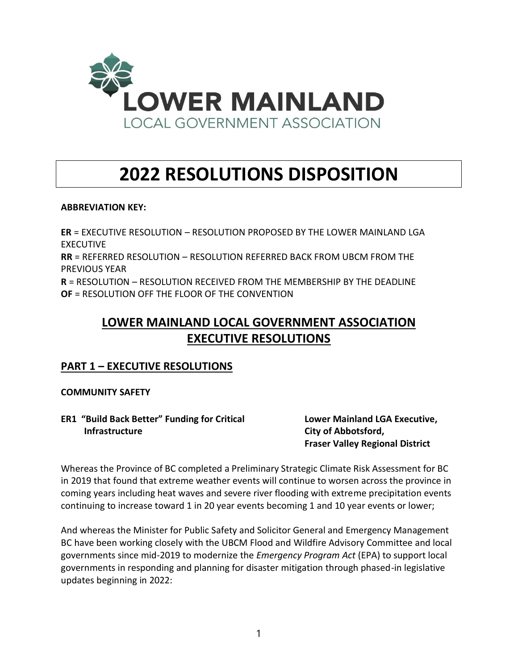

# **2022 RESOLUTIONS DISPOSITION**

# **ABBREVIATION KEY:**

**ER** = EXECUTIVE RESOLUTION – RESOLUTION PROPOSED BY THE LOWER MAINLAND LGA EXECUTIVE **RR** = REFERRED RESOLUTION – RESOLUTION REFERRED BACK FROM UBCM FROM THE PREVIOUS YEAR **R** = RESOLUTION – RESOLUTION RECEIVED FROM THE MEMBERSHIP BY THE DEADLINE **OF** = RESOLUTION OFF THE FLOOR OF THE CONVENTION

# **LOWER MAINLAND LOCAL GOVERNMENT ASSOCIATION EXECUTIVE RESOLUTIONS**

# **PART 1 – EXECUTIVE RESOLUTIONS**

# **COMMUNITY SAFETY**

**ER1 "Build Back Better" Funding for Critical Lower Mainland LGA Executive, Infrastructure City of Abbotsford,** 

**Fraser Valley Regional District**

Whereas the Province of BC completed a Preliminary Strategic Climate Risk Assessment for BC in 2019 that found that extreme weather events will continue to worsen across the province in coming years including heat waves and severe river flooding with extreme precipitation events continuing to increase toward 1 in 20 year events becoming 1 and 10 year events or lower;

And whereas the Minister for Public Safety and Solicitor General and Emergency Management BC have been working closely with the UBCM Flood and Wildfire Advisory Committee and local governments since mid-2019 to modernize the *Emergency Program Act* (EPA) to support local governments in responding and planning for disaster mitigation through phased-in legislative updates beginning in 2022: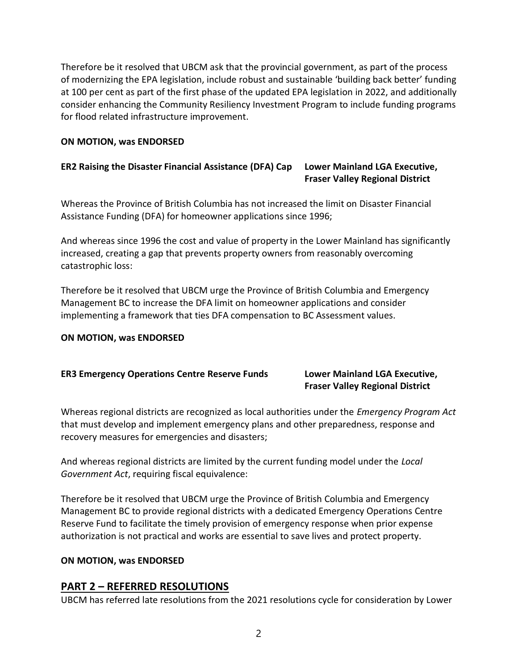Therefore be it resolved that UBCM ask that the provincial government, as part of the process of modernizing the EPA legislation, include robust and sustainable 'building back better' funding at 100 per cent as part of the first phase of the updated EPA legislation in 2022, and additionally consider enhancing the Community Resiliency Investment Program to include funding programs for flood related infrastructure improvement.

# **ON MOTION, was ENDORSED**

# **ER2 Raising the Disaster Financial Assistance (DFA) Cap Lower Mainland LGA Executive, Fraser Valley Regional District**

Whereas the Province of British Columbia has not increased the limit on Disaster Financial Assistance Funding (DFA) for homeowner applications since 1996;

And whereas since 1996 the cost and value of property in the Lower Mainland has significantly increased, creating a gap that prevents property owners from reasonably overcoming catastrophic loss:

Therefore be it resolved that UBCM urge the Province of British Columbia and Emergency Management BC to increase the DFA limit on homeowner applications and consider implementing a framework that ties DFA compensation to BC Assessment values.

### **ON MOTION, was ENDORSED**

### **ER3 Emergency Operations Centre Reserve Funds Lower Mainland LGA Executive,**

# **Fraser Valley Regional District**

Whereas regional districts are recognized as local authorities under the *Emergency Program Act* that must develop and implement emergency plans and other preparedness, response and recovery measures for emergencies and disasters;

And whereas regional districts are limited by the current funding model under the *Local Government Act*, requiring fiscal equivalence:

Therefore be it resolved that UBCM urge the Province of British Columbia and Emergency Management BC to provide regional districts with a dedicated Emergency Operations Centre Reserve Fund to facilitate the timely provision of emergency response when prior expense authorization is not practical and works are essential to save lives and protect property.

### **ON MOTION, was ENDORSED**

# **PART 2 – REFERRED RESOLUTIONS**

UBCM has referred late resolutions from the 2021 resolutions cycle for consideration by Lower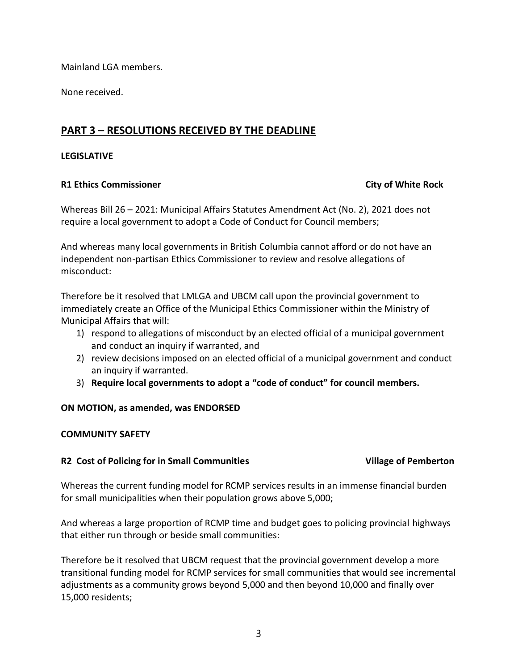Mainland LGA members.

None received.

# **PART 3 – RESOLUTIONS RECEIVED BY THE DEADLINE**

# **LEGISLATIVE**

# **R1 Ethics Commissioner City of White Rock**

Whereas Bill 26 – 2021: Municipal Affairs Statutes Amendment Act (No. 2), 2021 does not require a local government to adopt a Code of Conduct for Council members;

And whereas many local governments in British Columbia cannot afford or do not have an independent non-partisan Ethics Commissioner to review and resolve allegations of misconduct:

Therefore be it resolved that LMLGA and UBCM call upon the provincial government to immediately create an Office of the Municipal Ethics Commissioner within the Ministry of Municipal Affairs that will:

- 1) respond to allegations of misconduct by an elected official of a municipal government and conduct an inquiry if warranted, and
- 2) review decisions imposed on an elected official of a municipal government and conduct an inquiry if warranted.
- 3) **Require local governments to adopt a "code of conduct" for council members.**

# **ON MOTION, as amended, was ENDORSED**

### **COMMUNITY SAFETY**

# **R2 Cost of Policing for in Small Communities Village of Pemberton**

Whereas the current funding model for RCMP services results in an immense financial burden for small municipalities when their population grows above 5,000;

And whereas a large proportion of RCMP time and budget goes to policing provincial highways that either run through or beside small communities:

Therefore be it resolved that UBCM request that the provincial government develop a more transitional funding model for RCMP services for small communities that would see incremental adjustments as a community grows beyond 5,000 and then beyond 10,000 and finally over 15,000 residents;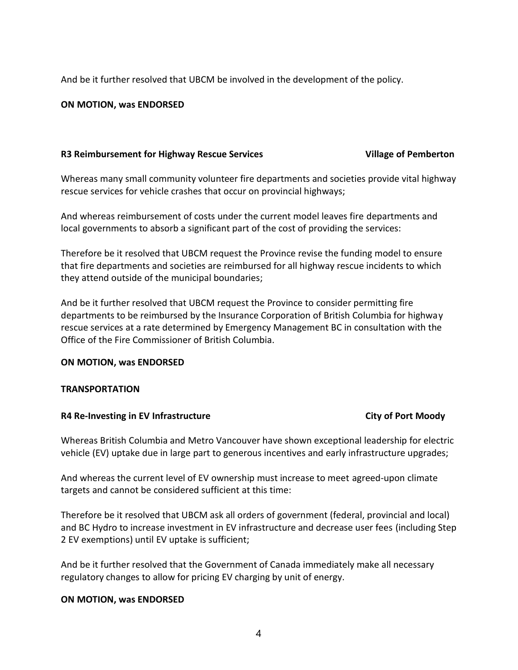And be it further resolved that UBCM be involved in the development of the policy.

### **ON MOTION, was ENDORSED**

### **R3 Reimbursement for Highway Rescue Services Village of Pemberton**

Whereas many small community volunteer fire departments and societies provide vital highway rescue services for vehicle crashes that occur on provincial highways;

And whereas reimbursement of costs under the current model leaves fire departments and local governments to absorb a significant part of the cost of providing the services:

Therefore be it resolved that UBCM request the Province revise the funding model to ensure that fire departments and societies are reimbursed for all highway rescue incidents to which they attend outside of the municipal boundaries;

And be it further resolved that UBCM request the Province to consider permitting fire departments to be reimbursed by the Insurance Corporation of British Columbia for highway rescue services at a rate determined by Emergency Management BC in consultation with the Office of the Fire Commissioner of British Columbia.

### **ON MOTION, was ENDORSED**

### **TRANSPORTATION**

### **R4 Re-Investing in EV Infrastructure City of Port Moody**

Whereas British Columbia and Metro Vancouver have shown exceptional leadership for electric vehicle (EV) uptake due in large part to generous incentives and early infrastructure upgrades;

And whereas the current level of EV ownership must increase to meet agreed-upon climate targets and cannot be considered sufficient at this time:

Therefore be it resolved that UBCM ask all orders of government (federal, provincial and local) and BC Hydro to increase investment in EV infrastructure and decrease user fees (including Step 2 EV exemptions) until EV uptake is sufficient;

And be it further resolved that the Government of Canada immediately make all necessary regulatory changes to allow for pricing EV charging by unit of energy.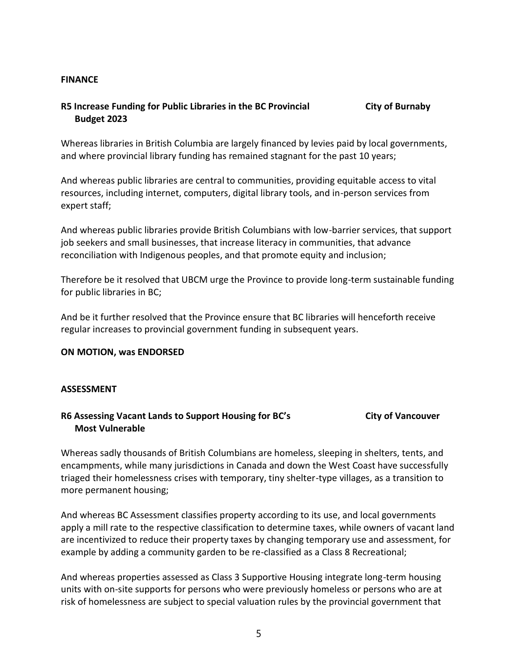### **FINANCE**

# **R5 Increase Funding for Public Libraries in the BC Provincial City of Burnaby Budget 2023**

Whereas libraries in British Columbia are largely financed by levies paid by local governments, and where provincial library funding has remained stagnant for the past 10 years;

And whereas public libraries are central to communities, providing equitable access to vital resources, including internet, computers, digital library tools, and in-person services from expert staff;

And whereas public libraries provide British Columbians with low-barrier services, that support job seekers and small businesses, that increase literacy in communities, that advance reconciliation with Indigenous peoples, and that promote equity and inclusion;

Therefore be it resolved that UBCM urge the Province to provide long-term sustainable funding for public libraries in BC;

And be it further resolved that the Province ensure that BC libraries will henceforth receive regular increases to provincial government funding in subsequent years.

### **ON MOTION, was ENDORSED**

### **ASSESSMENT**

# **R6 Assessing Vacant Lands to Support Housing for BC's City of Vancouver Most Vulnerable**

Whereas sadly thousands of British Columbians are homeless, sleeping in shelters, tents, and encampments, while many jurisdictions in Canada and down the West Coast have successfully triaged their homelessness crises with temporary, tiny shelter-type villages, as a transition to more permanent housing;

And whereas BC Assessment classifies property according to its use, and local governments apply a mill rate to the respective classification to determine taxes, while owners of vacant land are incentivized to reduce their property taxes by changing temporary use and assessment, for example by adding a community garden to be re-classified as a Class 8 Recreational;

And whereas properties assessed as Class 3 Supportive Housing integrate long-term housing units with on-site supports for persons who were previously homeless or persons who are at risk of homelessness are subject to special valuation rules by the provincial government that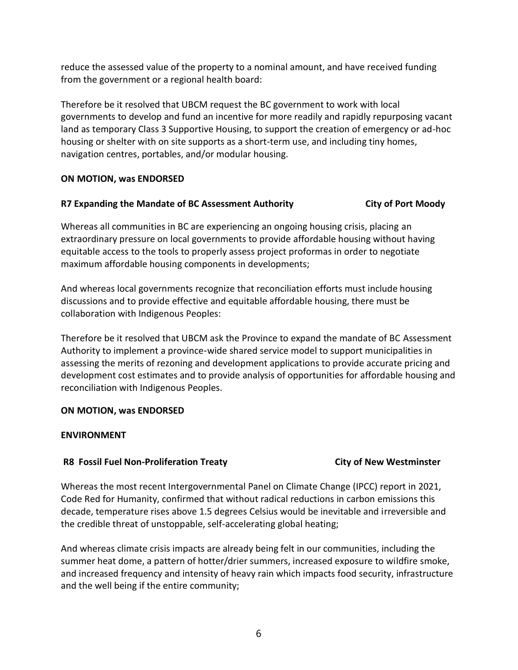reduce the assessed value of the property to a nominal amount, and have received funding from the government or a regional health board:

Therefore be it resolved that UBCM request the BC government to work with local governments to develop and fund an incentive for more readily and rapidly repurposing vacant land as temporary Class 3 Supportive Housing, to support the creation of emergency or ad-hoc housing or shelter with on site supports as a short-term use, and including tiny homes, navigation centres, portables, and/or modular housing.

# **ON MOTION, was ENDORSED**

# **R7 Expanding the Mandate of BC Assessment Authority City of Port Moody**

Whereas all communities in BC are experiencing an ongoing housing crisis, placing an extraordinary pressure on local governments to provide affordable housing without having equitable access to the tools to properly assess project proformas in order to negotiate maximum affordable housing components in developments;

And whereas local governments recognize that reconciliation efforts must include housing discussions and to provide effective and equitable affordable housing, there must be collaboration with Indigenous Peoples:

Therefore be it resolved that UBCM ask the Province to expand the mandate of BC Assessment Authority to implement a province‑wide shared service model to support municipalities in assessing the merits of rezoning and development applications to provide accurate pricing and development cost estimates and to provide analysis of opportunities for affordable housing and reconciliation with Indigenous Peoples.

### **ON MOTION, was ENDORSED**

### **ENVIRONMENT**

# **R8 Fossil Fuel Non-Proliferation Treaty City of New Westminster**

Whereas the most recent Intergovernmental Panel on Climate Change (IPCC) report in 2021, Code Red for Humanity, confirmed that without radical reductions in carbon emissions this decade, temperature rises above 1.5 degrees Celsius would be inevitable and irreversible and the credible threat of unstoppable, self-accelerating global heating;

And whereas climate crisis impacts are already being felt in our communities, including the summer heat dome, a pattern of hotter/drier summers, increased exposure to wildfire smoke, and increased frequency and intensity of heavy rain which impacts food security, infrastructure and the well being if the entire community;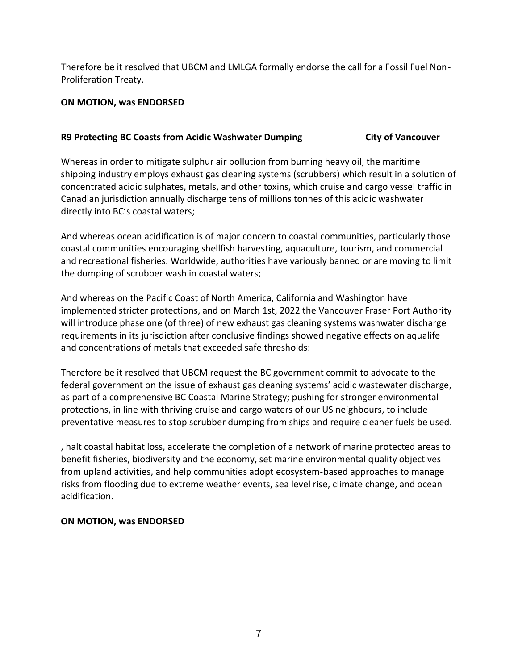Therefore be it resolved that UBCM and LMLGA formally endorse the call for a Fossil Fuel Non-Proliferation Treaty.

# **ON MOTION, was ENDORSED**

# **R9 Protecting BC Coasts from Acidic Washwater Dumping City of Vancouver**

Whereas in order to mitigate sulphur air pollution from burning heavy oil, the maritime shipping industry employs exhaust gas cleaning systems (scrubbers) which result in a solution of concentrated acidic sulphates, metals, and other toxins, which cruise and cargo vessel traffic in Canadian jurisdiction annually discharge tens of millions tonnes of this acidic washwater directly into BC's coastal waters;

And whereas ocean acidification is of major concern to coastal communities, particularly those coastal communities encouraging shellfish harvesting, aquaculture, tourism, and commercial and recreational fisheries. Worldwide, authorities have variously banned or are moving to limit the dumping of scrubber wash in coastal waters;

And whereas on the Pacific Coast of North America, California and Washington have implemented stricter protections, and on March 1st, 2022 the Vancouver Fraser Port Authority will introduce phase one (of three) of new exhaust gas cleaning systems washwater discharge requirements in its jurisdiction after conclusive findings showed negative effects on aqualife and concentrations of metals that exceeded safe thresholds:

Therefore be it resolved that UBCM request the BC government commit to advocate to the federal government on the issue of exhaust gas cleaning systems' acidic wastewater discharge, as part of a comprehensive BC Coastal Marine Strategy; pushing for stronger environmental protections, in line with thriving cruise and cargo waters of our US neighbours, to include preventative measures to stop scrubber dumping from ships and require cleaner fuels be used.

, halt coastal habitat loss, accelerate the completion of a network of marine protected areas to benefit fisheries, biodiversity and the economy, set marine environmental quality objectives from upland activities, and help communities adopt ecosystem‑based approaches to manage risks from flooding due to extreme weather events, sea level rise, climate change, and ocean acidification.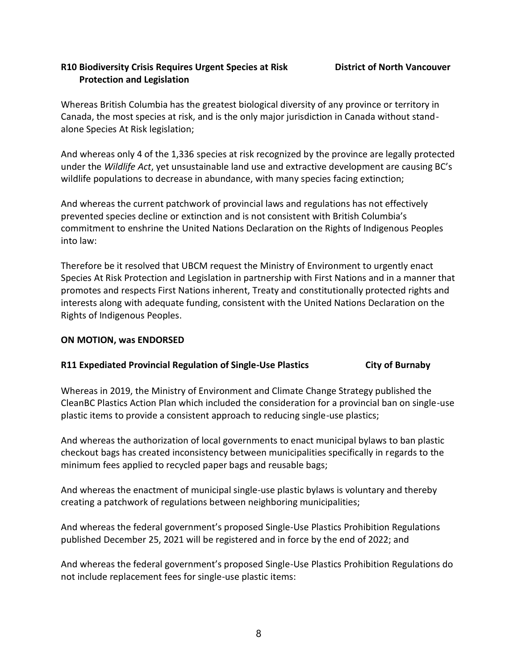# **R10 Biodiversity Crisis Requires Urgent Species at Risk District of North Vancouver Protection and Legislation**

Whereas British Columbia has the greatest biological diversity of any province or territory in Canada, the most species at risk, and is the only major jurisdiction in Canada without standalone Species At Risk legislation;

And whereas only 4 of the 1,336 species at risk recognized by the province are legally protected under the *Wildlife Act*, yet unsustainable land use and extractive development are causing BC's wildlife populations to decrease in abundance, with many species facing extinction;

And whereas the current patchwork of provincial laws and regulations has not effectively prevented species decline or extinction and is not consistent with British Columbia's commitment to enshrine the United Nations Declaration on the Rights of Indigenous Peoples into law:

Therefore be it resolved that UBCM request the Ministry of Environment to urgently enact Species At Risk Protection and Legislation in partnership with First Nations and in a manner that promotes and respects First Nations inherent, Treaty and constitutionally protected rights and interests along with adequate funding, consistent with the United Nations Declaration on the Rights of Indigenous Peoples.

# **ON MOTION, was ENDORSED**

# **R11 Expediated Provincial Regulation of Single-Use Plastics City of Burnaby**

Whereas in 2019, the Ministry of Environment and Climate Change Strategy published the CleanBC Plastics Action Plan which included the consideration for a provincial ban on single-use plastic items to provide a consistent approach to reducing single-use plastics;

And whereas the authorization of local governments to enact municipal bylaws to ban plastic checkout bags has created inconsistency between municipalities specifically in regards to the minimum fees applied to recycled paper bags and reusable bags;

And whereas the enactment of municipal single-use plastic bylaws is voluntary and thereby creating a patchwork of regulations between neighboring municipalities;

And whereas the federal government's proposed Single-Use Plastics Prohibition Regulations published December 25, 2021 will be registered and in force by the end of 2022; and

And whereas the federal government's proposed Single-Use Plastics Prohibition Regulations do not include replacement fees for single-use plastic items: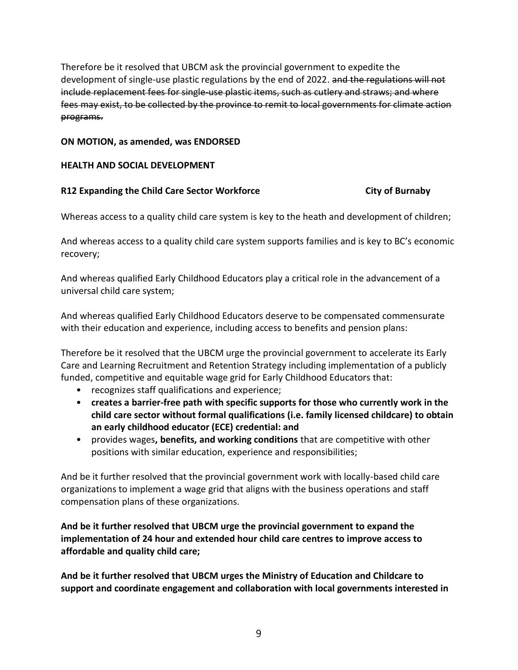Therefore be it resolved that UBCM ask the provincial government to expedite the development of single-use plastic regulations by the end of 2022. and the regulations will not include replacement fees for single-use plastic items, such as cutlery and straws; and where fees may exist, to be collected by the province to remit to local governments for climate action programs.

### **ON MOTION, as amended, was ENDORSED**

# **HEALTH AND SOCIAL DEVELOPMENT**

# **R12 Expanding the Child Care Sector Workforce City of Burnaby**

Whereas access to a quality child care system is key to the heath and development of children;

And whereas access to a quality child care system supports families and is key to BC's economic recovery;

And whereas qualified Early Childhood Educators play a critical role in the advancement of a universal child care system;

And whereas qualified Early Childhood Educators deserve to be compensated commensurate with their education and experience, including access to benefits and pension plans:

Therefore be it resolved that the UBCM urge the provincial government to accelerate its Early Care and Learning Recruitment and Retention Strategy including implementation of a publicly funded, competitive and equitable wage grid for Early Childhood Educators that:

- recognizes staff qualifications and experience;
- **creates a barrier-free path with specific supports for those who currently work in the child care sector without formal qualifications (i.e. family licensed childcare) to obtain an early childhood educator (ECE) credential: and**
- provides wages**, benefits, and working conditions** that are competitive with other positions with similar education, experience and responsibilities;

And be it further resolved that the provincial government work with locally-based child care organizations to implement a wage grid that aligns with the business operations and staff compensation plans of these organizations.

**And be it further resolved that UBCM urge the provincial government to expand the implementation of 24 hour and extended hour child care centres to improve access to affordable and quality child care;**

**And be it further resolved that UBCM urges the Ministry of Education and Childcare to support and coordinate engagement and collaboration with local governments interested in**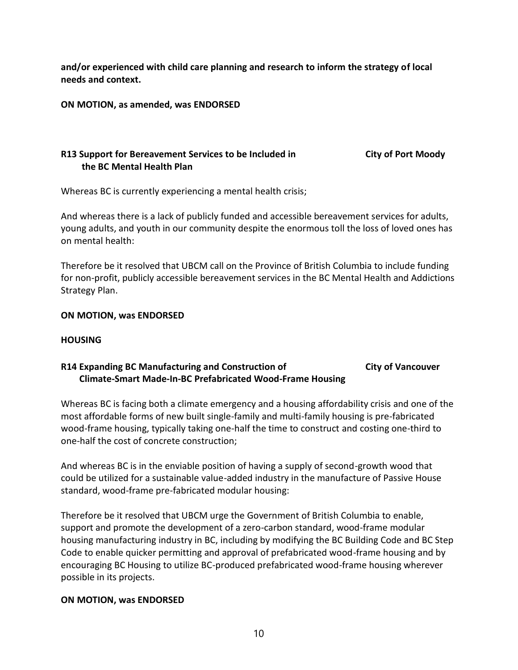**and/or experienced with child care planning and research to inform the strategy of local needs and context.**

**ON MOTION, as amended, was ENDORSED**

# **R13 Support for Bereavement Services to be Included in City of Port Moody the BC Mental Health Plan**

Whereas BC is currently experiencing a mental health crisis;

And whereas there is a lack of publicly funded and accessible bereavement services for adults, young adults, and youth in our community despite the enormous toll the loss of loved ones has on mental health:

Therefore be it resolved that UBCM call on the Province of British Columbia to include funding for non-profit, publicly accessible bereavement services in the BC Mental Health and Addictions Strategy Plan.

# **ON MOTION, was ENDORSED**

# **HOUSING**

# **R14 Expanding BC Manufacturing and Construction of City of Vancouver Climate-Smart Made-In-BC Prefabricated Wood-Frame Housing**

Whereas BC is facing both a climate emergency and a housing affordability crisis and one of the most affordable forms of new built single-family and multi-family housing is pre-fabricated wood-frame housing, typically taking one-half the time to construct and costing one-third to one-half the cost of concrete construction;

And whereas BC is in the enviable position of having a supply of second-growth wood that could be utilized for a sustainable value-added industry in the manufacture of Passive House standard, wood-frame pre-fabricated modular housing:

Therefore be it resolved that UBCM urge the Government of British Columbia to enable, support and promote the development of a zero-carbon standard, wood-frame modular housing manufacturing industry in BC, including by modifying the BC Building Code and BC Step Code to enable quicker permitting and approval of prefabricated wood-frame housing and by encouraging BC Housing to utilize BC-produced prefabricated wood-frame housing wherever possible in its projects.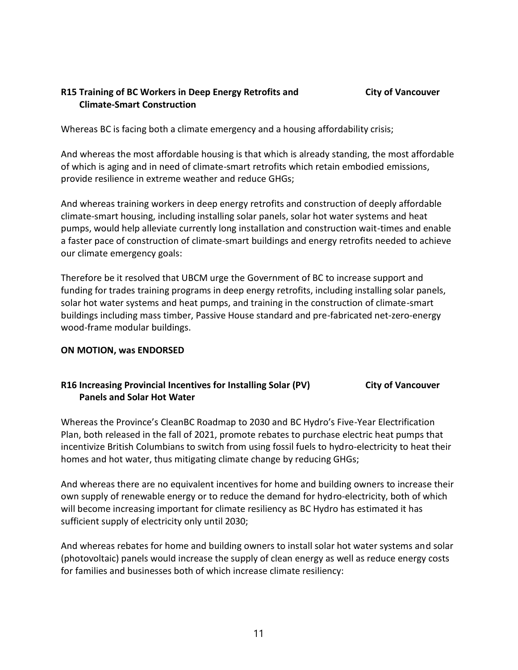# **R15 Training of BC Workers in Deep Energy Retrofits and City of Vancouver Climate-Smart Construction**

Whereas BC is facing both a climate emergency and a housing affordability crisis;

And whereas the most affordable housing is that which is already standing, the most affordable of which is aging and in need of climate-smart retrofits which retain embodied emissions, provide resilience in extreme weather and reduce GHGs;

And whereas training workers in deep energy retrofits and construction of deeply affordable climate-smart housing, including installing solar panels, solar hot water systems and heat pumps, would help alleviate currently long installation and construction wait-times and enable a faster pace of construction of climate-smart buildings and energy retrofits needed to achieve our climate emergency goals:

Therefore be it resolved that UBCM urge the Government of BC to increase support and funding for trades training programs in deep energy retrofits, including installing solar panels, solar hot water systems and heat pumps, and training in the construction of climate-smart buildings including mass timber, Passive House standard and pre-fabricated net-zero-energy wood-frame modular buildings.

# **ON MOTION, was ENDORSED**

# R16 Increasing Provincial Incentives for Installing Solar (PV) City of Vancouver  **Panels and Solar Hot Water**

Whereas the Province's CleanBC Roadmap to 2030 and BC Hydro's Five-Year Electrification Plan, both released in the fall of 2021, promote rebates to purchase electric heat pumps that incentivize British Columbians to switch from using fossil fuels to hydro-electricity to heat their homes and hot water, thus mitigating climate change by reducing GHGs;

And whereas there are no equivalent incentives for home and building owners to increase their own supply of renewable energy or to reduce the demand for hydro-electricity, both of which will become increasing important for climate resiliency as BC Hydro has estimated it has sufficient supply of electricity only until 2030;

And whereas rebates for home and building owners to install solar hot water systems and solar (photovoltaic) panels would increase the supply of clean energy as well as reduce energy costs for families and businesses both of which increase climate resiliency: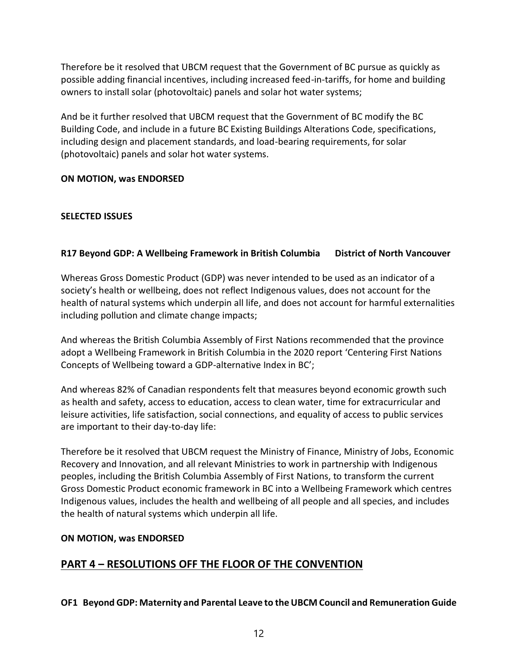Therefore be it resolved that UBCM request that the Government of BC pursue as quickly as possible adding financial incentives, including increased feed-in-tariffs, for home and building owners to install solar (photovoltaic) panels and solar hot water systems;

And be it further resolved that UBCM request that the Government of BC modify the BC Building Code, and include in a future BC Existing Buildings Alterations Code, specifications, including design and placement standards, and load-bearing requirements, for solar (photovoltaic) panels and solar hot water systems.

# **ON MOTION, was ENDORSED**

# **SELECTED ISSUES**

# **R17 Beyond GDP: A Wellbeing Framework in British Columbia District of North Vancouver**

Whereas Gross Domestic Product (GDP) was never intended to be used as an indicator of a society's health or wellbeing, does not reflect Indigenous values, does not account for the health of natural systems which underpin all life, and does not account for harmful externalities including pollution and climate change impacts;

And whereas the British Columbia Assembly of First Nations recommended that the province adopt a Wellbeing Framework in British Columbia in the 2020 report 'Centering First Nations Concepts of Wellbeing toward a GDP-alternative Index in BC';

And whereas 82% of Canadian respondents felt that measures beyond economic growth such as health and safety, access to education, access to clean water, time for extracurricular and leisure activities, life satisfaction, social connections, and equality of access to public services are important to their day-to-day life:

Therefore be it resolved that UBCM request the Ministry of Finance, Ministry of Jobs, Economic Recovery and Innovation, and all relevant Ministries to work in partnership with Indigenous peoples, including the British Columbia Assembly of First Nations, to transform the current Gross Domestic Product economic framework in BC into a Wellbeing Framework which centres Indigenous values, includes the health and wellbeing of all people and all species, and includes the health of natural systems which underpin all life.

# **ON MOTION, was ENDORSED**

# **PART 4 – RESOLUTIONS OFF THE FLOOR OF THE CONVENTION**

**OF1 Beyond GDP: Maternity and Parental Leave to the UBCM Council and Remuneration Guide**